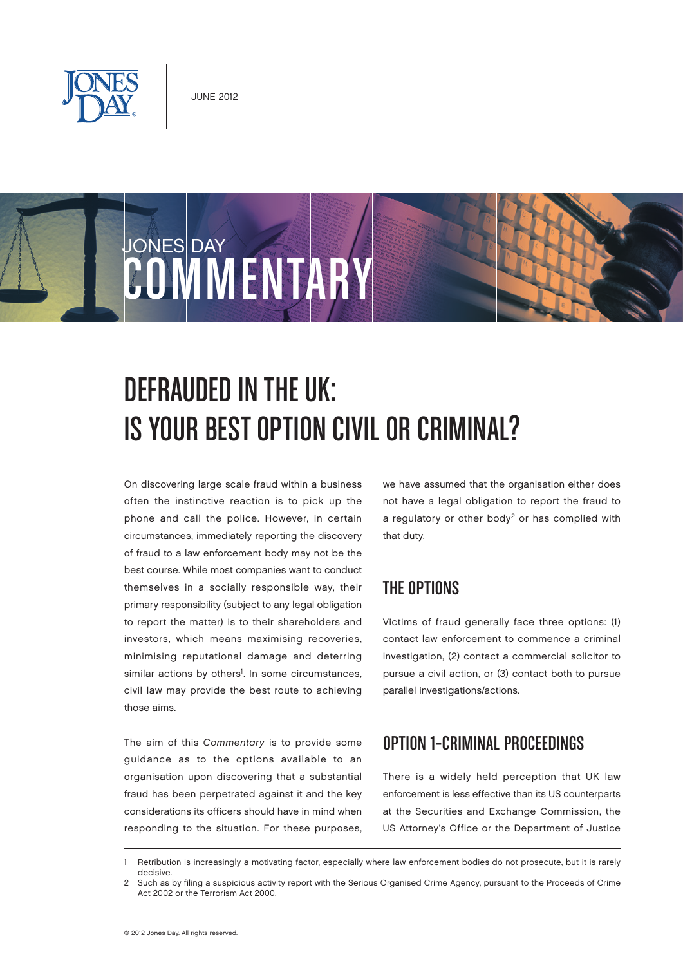

# JONES DAY OMMENTAR



## Defrauded in the UK: Is Your Best Option Civil or Criminal?

On discovering large scale fraud within a business often the instinctive reaction is to pick up the phone and call the police. However, in certain circumstances, immediately reporting the discovery of fraud to a law enforcement body may not be the best course. While most companies want to conduct themselves in a socially responsible way, their primary responsibility (subject to any legal obligation to report the matter) is to their shareholders and investors, which means maximising recoveries, minimising reputational damage and deterring similar actions by others<sup>1</sup>. In some circumstances, civil law may provide the best route to achieving those aims.

The aim of this Commentary is to provide some guidance as to the options available to an organisation upon discovering that a substantial fraud has been perpetrated against it and the key considerations its officers should have in mind when responding to the situation. For these purposes,

we have assumed that the organisation either does not have a legal obligation to report the fraud to a regulatory or other body<sup>2</sup> or has complied with that duty.

## THE OPTIONS

Victims of fraud generally face three options: (1) contact law enforcement to commence a criminal investigation, (2) contact a commercial solicitor to pursue a civil action, or (3) contact both to pursue parallel investigations/actions.

## OPTION 1–CRIMINAL PROCEEDINGS

There is a widely held perception that UK law enforcement is less effective than its US counterparts at the Securities and Exchange Commission, the US Attorney's Office or the Department of Justice

<sup>1</sup> Retribution is increasingly a motivating factor, especially where law enforcement bodies do not prosecute, but it is rarely decisive.

<sup>2</sup> Such as by filing a suspicious activity report with the Serious Organised Crime Agency, pursuant to the Proceeds of Crime Act 2002 or the Terrorism Act 2000.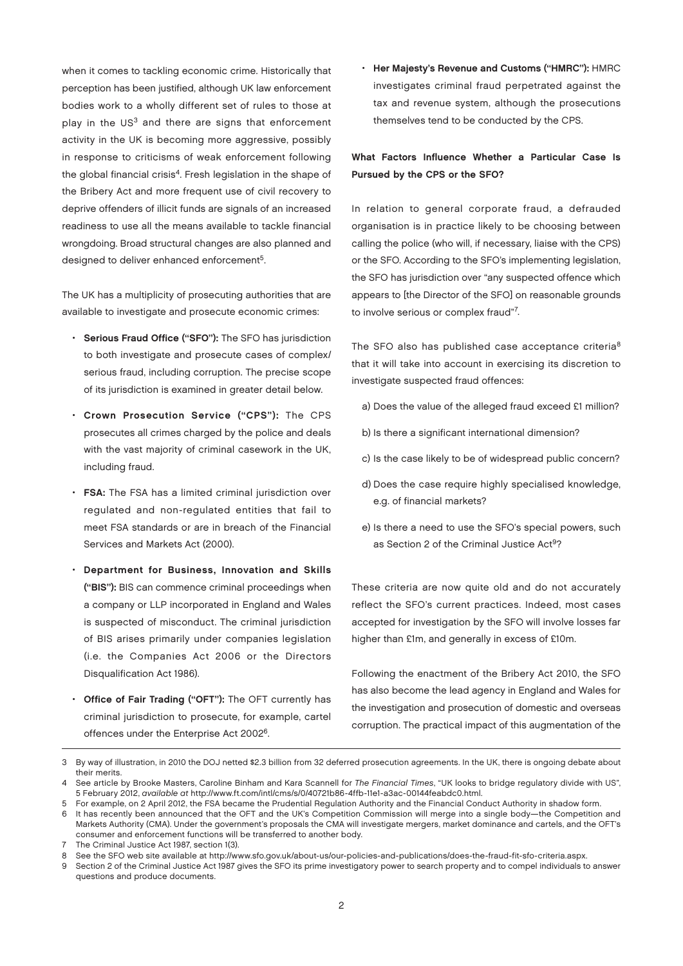when it comes to tackling economic crime. Historically that perception has been justified, although UK law enforcement bodies work to a wholly different set of rules to those at play in the  $US<sup>3</sup>$  and there are signs that enforcement activity in the UK is becoming more aggressive, possibly in response to criticisms of weak enforcement following the global financial crisis<sup>4</sup>. Fresh legislation in the shape of the Bribery Act and more frequent use of civil recovery to deprive offenders of illicit funds are signals of an increased readiness to use all the means available to tackle financial wrongdoing. Broad structural changes are also planned and designed to deliver enhanced enforcement<sup>5</sup>.

The UK has a multiplicity of prosecuting authorities that are available to investigate and prosecute economic crimes:

- Serious Fraud Office ("SFO"): The SFO has jurisdiction to both investigate and prosecute cases of complex/ serious fraud, including corruption. The precise scope of its jurisdiction is examined in greater detail below.
- Crown Prosecution Service ("CPS"): The CPS prosecutes all crimes charged by the police and deals with the vast majority of criminal casework in the UK, including fraud.
- FSA: The FSA has a limited criminal jurisdiction over regulated and non-regulated entities that fail to meet FSA standards or are in breach of the Financial Services and Markets Act (2000).
- Department for Business, Innovation and Skills ("BIS"): BIS can commence criminal proceedings when a company or LLP incorporated in England and Wales is suspected of misconduct. The criminal jurisdiction of BIS arises primarily under companies legislation (i.e. the Companies Act 2006 or the Directors Disqualification Act 1986).
- Office of Fair Trading ("OFT"): The OFT currently has criminal jurisdiction to prosecute, for example, cartel offences under the Enterprise Act 20026.

• Her Majesty's Revenue and Customs ("HMRC"): HMRC investigates criminal fraud perpetrated against the tax and revenue system, although the prosecutions themselves tend to be conducted by the CPS.

#### What Factors Influence Whether a Particular Case Is Pursued by the CPS or the SFO?

In relation to general corporate fraud, a defrauded organisation is in practice likely to be choosing between calling the police (who will, if necessary, liaise with the CPS) or the SFO. According to the SFO's implementing legislation, the SFO has jurisdiction over "any suspected offence which appears to [the Director of the SFO] on reasonable grounds to involve serious or complex fraud"7.

The SFO also has published case acceptance criteria<sup>8</sup> that it will take into account in exercising its discretion to investigate suspected fraud offences:

- a) Does the value of the alleged fraud exceed £1 million?
- b) Is there a significant international dimension?
- c) Is the case likely to be of widespread public concern?
- d) Does the case require highly specialised knowledge, e.g. of financial markets?
- e) Is there a need to use the SFO's special powers, such as Section 2 of the Criminal Justice Act<sup>9</sup>?

These criteria are now quite old and do not accurately reflect the SFO's current practices. Indeed, most cases accepted for investigation by the SFO will involve losses far higher than £1m, and generally in excess of £10m.

Following the enactment of the Bribery Act 2010, the SFO has also become the lead agency in England and Wales for the investigation and prosecution of domestic and overseas corruption. The practical impact of this augmentation of the

<sup>3</sup> By way of illustration, in 2010 the DOJ netted \$2.3 billion from 32 deferred prosecution agreements. In the UK, there is ongoing debate about their merits.

See article by Brooke Masters, Caroline Binham and Kara Scannell for The Financial Times, "UK looks to bridge regulatory divide with US", 5 February 2012, available at http://www.ft.com/intl/cms/s/0/40721b86-4ffb-11e1-a3ac-00144feabdc0.html.

<sup>5</sup> For example, on 2 April 2012, the FSA became the Prudential Regulation Authority and the Financial Conduct Authority in shadow form.

<sup>6</sup> It has recently been announced that the OFT and the UK's Competition Commission will merge into a single body—the Competition and Markets Authority (CMA). Under the government's proposals the CMA will investigate mergers, market dominance and cartels, and the OFT's consumer and enforcement functions will be transferred to another body.

The Criminal Justice Act 1987, section 1(3).

<sup>8</sup> See the SFO web site available at http://www.sfo.gov.uk/about-us/our-policies-and-publications/does-the-fraud-fit-sfo-criteria.aspx.

Section 2 of the Criminal Justice Act 1987 gives the SFO its prime investigatory power to search property and to compel individuals to answer questions and produce documents.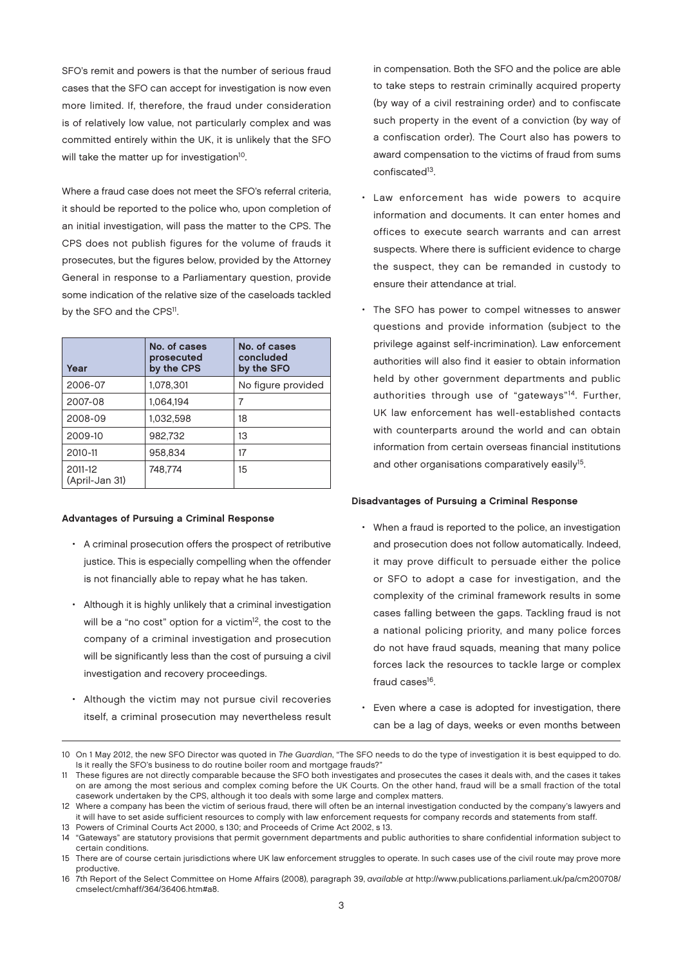SFO's remit and powers is that the number of serious fraud cases that the SFO can accept for investigation is now even more limited. If, therefore, the fraud under consideration is of relatively low value, not particularly complex and was committed entirely within the UK, it is unlikely that the SFO will take the matter up for investigation<sup>10</sup>.

Where a fraud case does not meet the SFO's referral criteria, it should be reported to the police who, upon completion of an initial investigation, will pass the matter to the CPS. The CPS does not publish figures for the volume of frauds it prosecutes, but the figures below, provided by the Attorney General in response to a Parliamentary question, provide some indication of the relative size of the caseloads tackled by the SFO and the CPS<sup>11</sup>.

| Year                      | No. of cases<br>prosecuted<br>by the CPS | No. of cases<br>concluded<br>by the SFO |
|---------------------------|------------------------------------------|-----------------------------------------|
| 2006-07                   | 1,078,301                                | No figure provided                      |
| 2007-08                   | 1,064,194                                |                                         |
| 2008-09                   | 1,032,598                                | 18                                      |
| 2009-10                   | 982,732                                  | 13                                      |
| 2010-11                   | 958.834                                  | 17                                      |
| 2011-12<br>(April-Jan 31) | 748.774                                  | 15                                      |

#### Advantages of Pursuing a Criminal Response

- A criminal prosecution offers the prospect of retributive justice. This is especially compelling when the offender is not financially able to repay what he has taken.
- Although it is highly unlikely that a criminal investigation will be a "no cost" option for a victim<sup>12</sup>, the cost to the company of a criminal investigation and prosecution will be significantly less than the cost of pursuing a civil investigation and recovery proceedings.
- Although the victim may not pursue civil recoveries itself, a criminal prosecution may nevertheless result

in compensation. Both the SFO and the police are able to take steps to restrain criminally acquired property (by way of a civil restraining order) and to confiscate such property in the event of a conviction (by way of a confiscation order). The Court also has powers to award compensation to the victims of fraud from sums confiscated<sup>13</sup>.

- Law enforcement has wide powers to acquire information and documents. It can enter homes and offices to execute search warrants and can arrest suspects. Where there is sufficient evidence to charge the suspect, they can be remanded in custody to ensure their attendance at trial.
- The SFO has power to compel witnesses to answer questions and provide information (subject to the privilege against self-incrimination). Law enforcement authorities will also find it easier to obtain information held by other government departments and public authorities through use of "gateways"14. Further, UK law enforcement has well-established contacts with counterparts around the world and can obtain information from certain overseas financial institutions and other organisations comparatively easily<sup>15</sup>.

#### Disadvantages of Pursuing a Criminal Response

- When a fraud is reported to the police, an investigation and prosecution does not follow automatically. Indeed, it may prove difficult to persuade either the police or SFO to adopt a case for investigation, and the complexity of the criminal framework results in some cases falling between the gaps. Tackling fraud is not a national policing priority, and many police forces do not have fraud squads, meaning that many police forces lack the resources to tackle large or complex fraud cases<sup>16</sup>.
- Even where a case is adopted for investigation, there can be a lag of days, weeks or even months between
- 10 On 1 May 2012, the new SFO Director was quoted in The Guardian, "The SFO needs to do the type of investigation it is best equipped to do. Is it really the SFO's business to do routine boiler room and mortgage frauds?"

11 These figures are not directly comparable because the SFO both investigates and prosecutes the cases it deals with, and the cases it takes on are among the most serious and complex coming before the UK Courts. On the other hand, fraud will be a small fraction of the total casework undertaken by the CPS, although it too deals with some large and complex matters.

<sup>12</sup> Where a company has been the victim of serious fraud, there will often be an internal investigation conducted by the company's lawyers and it will have to set aside sufficient resources to comply with law enforcement requests for company records and statements from staff.

<sup>13</sup> Powers of Criminal Courts Act 2000, s 130; and Proceeds of Crime Act 2002, s 13.

<sup>14</sup> "Gateways" are statutory provisions that permit government departments and public authorities to share confidential information subject to certain conditions.

<sup>15</sup> There are of course certain jurisdictions where UK law enforcement struggles to operate. In such cases use of the civil route may prove more productive.

<sup>16</sup> 7th Report of the Select Committee on Home Affairs (2008), paragraph 39, available at http://www.publications.parliament.uk/pa/cm200708/ cmselect/cmhaff/364/36406.htm#a8.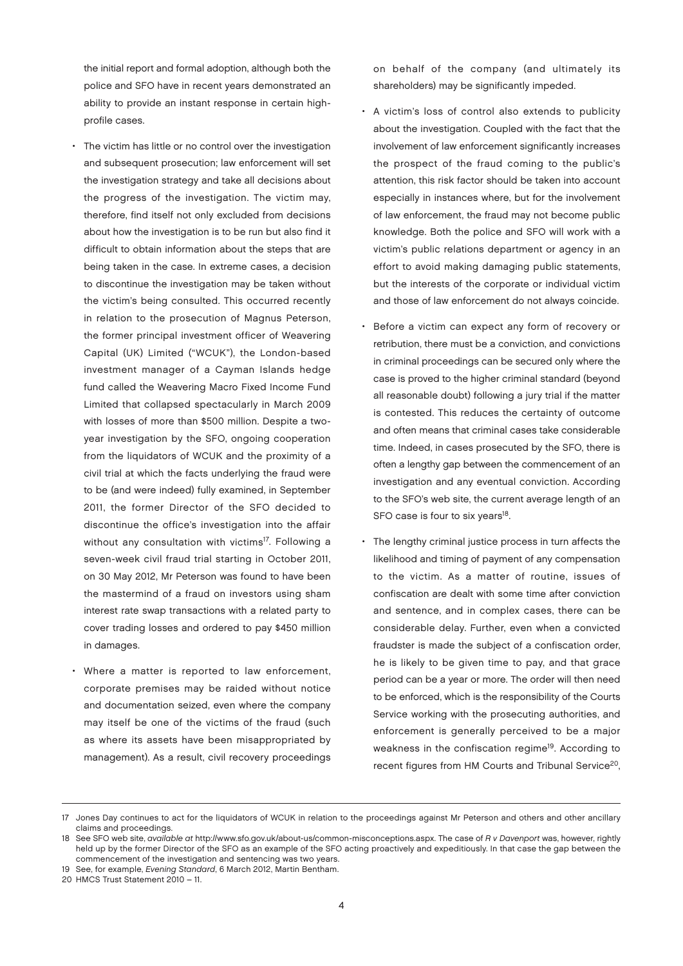the initial report and formal adoption, although both the police and SFO have in recent years demonstrated an ability to provide an instant response in certain highprofile cases.

- The victim has little or no control over the investigation and subsequent prosecution; law enforcement will set the investigation strategy and take all decisions about the progress of the investigation. The victim may, therefore, find itself not only excluded from decisions about how the investigation is to be run but also find it difficult to obtain information about the steps that are being taken in the case. In extreme cases, a decision to discontinue the investigation may be taken without the victim's being consulted. This occurred recently in relation to the prosecution of Magnus Peterson, the former principal investment officer of Weavering Capital (UK) Limited ("WCUK"), the London-based investment manager of a Cayman Islands hedge fund called the Weavering Macro Fixed Income Fund Limited that collapsed spectacularly in March 2009 with losses of more than \$500 million. Despite a twoyear investigation by the SFO, ongoing cooperation from the liquidators of WCUK and the proximity of a civil trial at which the facts underlying the fraud were to be (and were indeed) fully examined, in September 2011, the former Director of the SFO decided to discontinue the office's investigation into the affair without any consultation with victims<sup>17</sup>. Following a seven-week civil fraud trial starting in October 2011, on 30 May 2012, Mr Peterson was found to have been the mastermind of a fraud on investors using sham interest rate swap transactions with a related party to cover trading losses and ordered to pay \$450 million in damages.
- Where a matter is reported to law enforcement, corporate premises may be raided without notice and documentation seized, even where the company may itself be one of the victims of the fraud (such as where its assets have been misappropriated by management). As a result, civil recovery proceedings

on behalf of the company (and ultimately its shareholders) may be significantly impeded.

- A victim's loss of control also extends to publicity about the investigation. Coupled with the fact that the involvement of law enforcement significantly increases the prospect of the fraud coming to the public's attention, this risk factor should be taken into account especially in instances where, but for the involvement of law enforcement, the fraud may not become public knowledge. Both the police and SFO will work with a victim's public relations department or agency in an effort to avoid making damaging public statements, but the interests of the corporate or individual victim and those of law enforcement do not always coincide.
- Before a victim can expect any form of recovery or retribution, there must be a conviction, and convictions in criminal proceedings can be secured only where the case is proved to the higher criminal standard (beyond all reasonable doubt) following a jury trial if the matter is contested. This reduces the certainty of outcome and often means that criminal cases take considerable time. Indeed, in cases prosecuted by the SFO, there is often a lengthy gap between the commencement of an investigation and any eventual conviction. According to the SFO's web site, the current average length of an SFO case is four to six years<sup>18</sup>.
- The lengthy criminal justice process in turn affects the likelihood and timing of payment of any compensation to the victim. As a matter of routine, issues of confiscation are dealt with some time after conviction and sentence, and in complex cases, there can be considerable delay. Further, even when a convicted fraudster is made the subject of a confiscation order, he is likely to be given time to pay, and that grace period can be a year or more. The order will then need to be enforced, which is the responsibility of the Courts Service working with the prosecuting authorities, and enforcement is generally perceived to be a major weakness in the confiscation regime<sup>19</sup>. According to recent figures from HM Courts and Tribunal Service<sup>20</sup>,

<sup>17</sup> Jones Day continues to act for the liquidators of WCUK in relation to the proceedings against Mr Peterson and others and other ancillary claims and proceedings.

<sup>18</sup> See SFO web site, available at http://www.sfo.gov.uk/about-us/common-misconceptions.aspx. The case of R v Davenport was, however, rightly held up by the former Director of the SFO as an example of the SFO acting proactively and expeditiously. In that case the gap between the commencement of the investigation and sentencing was two years.

<sup>19</sup> See, for example, Evening Standard, 6 March 2012, Martin Bentham.

<sup>20</sup> HMCS Trust Statement 2010 – 11.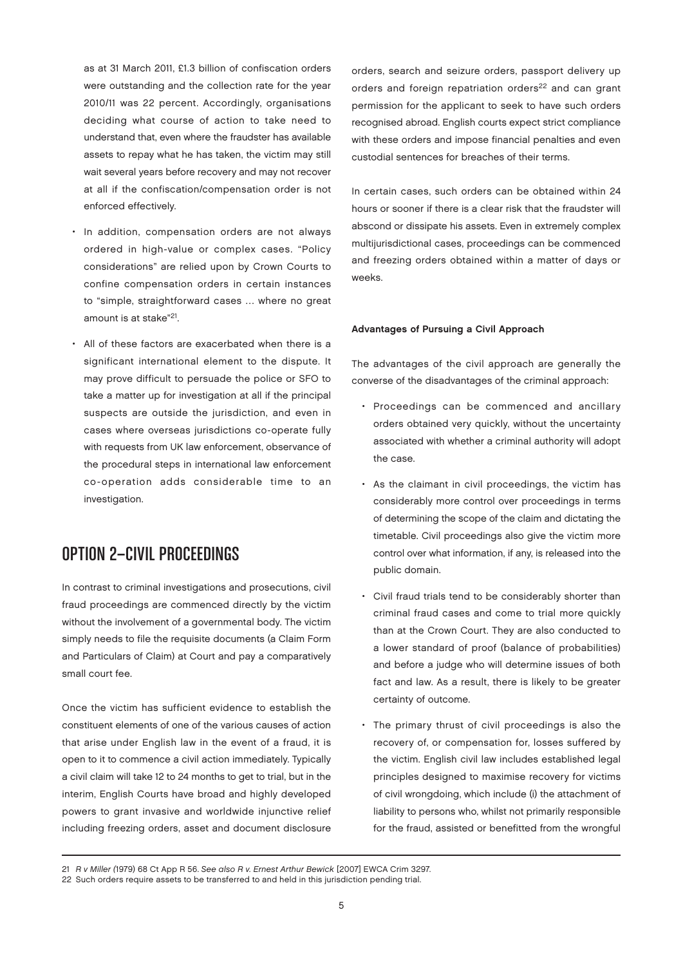as at 31 March 2011, £1.3 billion of confiscation orders were outstanding and the collection rate for the year 2010/11 was 22 percent. Accordingly, organisations deciding what course of action to take need to understand that, even where the fraudster has available assets to repay what he has taken, the victim may still wait several years before recovery and may not recover at all if the confiscation/compensation order is not enforced effectively.

- In addition, compensation orders are not always ordered in high-value or complex cases. "Policy considerations" are relied upon by Crown Courts to confine compensation orders in certain instances to "simple, straightforward cases … where no great amount is at stake"<sup>21</sup>.
- All of these factors are exacerbated when there is a significant international element to the dispute. It may prove difficult to persuade the police or SFO to take a matter up for investigation at all if the principal suspects are outside the jurisdiction, and even in cases where overseas jurisdictions co-operate fully with requests from UK law enforcement, observance of the procedural steps in international law enforcement co-operation adds considerable time to an investigation.

## OPTION 2—CIVIL PROCEEDINGS

In contrast to criminal investigations and prosecutions, civil fraud proceedings are commenced directly by the victim without the involvement of a governmental body. The victim simply needs to file the requisite documents (a Claim Form and Particulars of Claim) at Court and pay a comparatively small court fee.

Once the victim has sufficient evidence to establish the constituent elements of one of the various causes of action that arise under English law in the event of a fraud, it is open to it to commence a civil action immediately. Typically a civil claim will take 12 to 24 months to get to trial, but in the interim, English Courts have broad and highly developed powers to grant invasive and worldwide injunctive relief including freezing orders, asset and document disclosure orders, search and seizure orders, passport delivery up orders and foreign repatriation orders<sup>22</sup> and can grant permission for the applicant to seek to have such orders recognised abroad. English courts expect strict compliance with these orders and impose financial penalties and even custodial sentences for breaches of their terms.

In certain cases, such orders can be obtained within 24 hours or sooner if there is a clear risk that the fraudster will abscond or dissipate his assets. Even in extremely complex multijurisdictional cases, proceedings can be commenced and freezing orders obtained within a matter of days or weeks.

#### Advantages of Pursuing a Civil Approach

The advantages of the civil approach are generally the converse of the disadvantages of the criminal approach:

- Proceedings can be commenced and ancillary orders obtained very quickly, without the uncertainty associated with whether a criminal authority will adopt the case.
- As the claimant in civil proceedings, the victim has considerably more control over proceedings in terms of determining the scope of the claim and dictating the timetable. Civil proceedings also give the victim more control over what information, if any, is released into the public domain.
- Civil fraud trials tend to be considerably shorter than criminal fraud cases and come to trial more quickly than at the Crown Court. They are also conducted to a lower standard of proof (balance of probabilities) and before a judge who will determine issues of both fact and law. As a result, there is likely to be greater certainty of outcome.
- The primary thrust of civil proceedings is also the recovery of, or compensation for, losses suffered by the victim. English civil law includes established legal principles designed to maximise recovery for victims of civil wrongdoing, which include (i) the attachment of liability to persons who, whilst not primarily responsible for the fraud, assisted or benefitted from the wrongful

<sup>21</sup> R v Miller (1979) 68 Ct App R 56. See also R v. Ernest Arthur Bewick [2007] EWCA Crim 3297.

<sup>22</sup> Such orders require assets to be transferred to and held in this jurisdiction pending trial.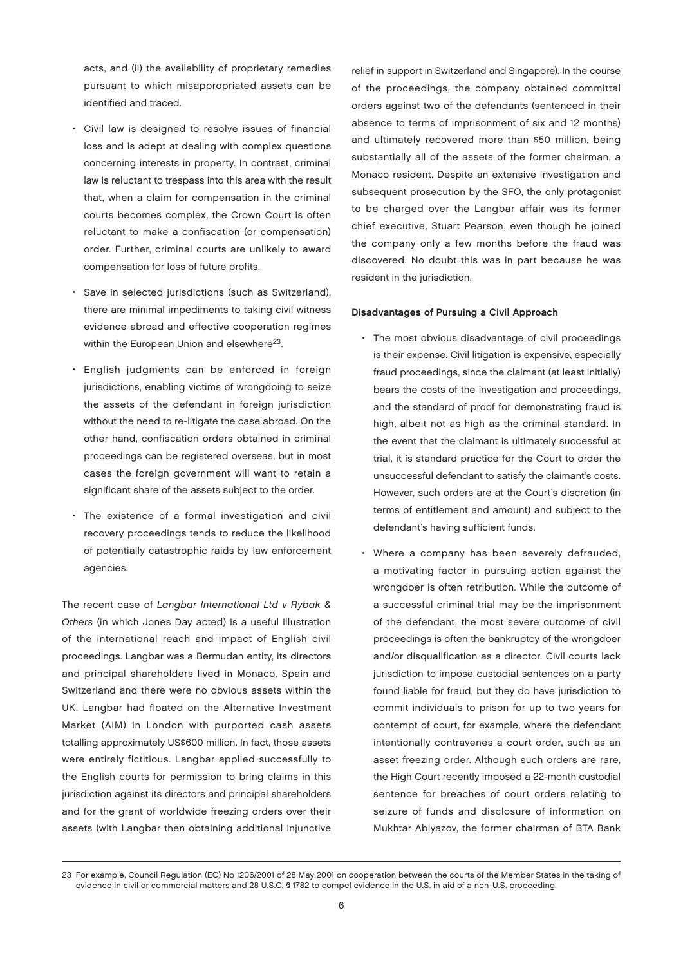acts, and (ii) the availability of proprietary remedies pursuant to which misappropriated assets can be identified and traced.

- Civil law is designed to resolve issues of financial loss and is adept at dealing with complex questions concerning interests in property. In contrast, criminal law is reluctant to trespass into this area with the result that, when a claim for compensation in the criminal courts becomes complex, the Crown Court is often reluctant to make a confiscation (or compensation) order. Further, criminal courts are unlikely to award compensation for loss of future profits.
- Save in selected jurisdictions (such as Switzerland), there are minimal impediments to taking civil witness evidence abroad and effective cooperation regimes within the European Union and elsewhere<sup>23</sup>.
- English judgments can be enforced in foreign jurisdictions, enabling victims of wrongdoing to seize the assets of the defendant in foreign jurisdiction without the need to re-litigate the case abroad. On the other hand, confiscation orders obtained in criminal proceedings can be registered overseas, but in most cases the foreign government will want to retain a significant share of the assets subject to the order.
- The existence of a formal investigation and civil recovery proceedings tends to reduce the likelihood of potentially catastrophic raids by law enforcement agencies.

The recent case of Langbar International Ltd v Rybak & Others (in which Jones Day acted) is a useful illustration of the international reach and impact of English civil proceedings. Langbar was a Bermudan entity, its directors and principal shareholders lived in Monaco, Spain and Switzerland and there were no obvious assets within the UK. Langbar had floated on the Alternative Investment Market (AIM) in London with purported cash assets totalling approximately US\$600 million. In fact, those assets were entirely fictitious. Langbar applied successfully to the English courts for permission to bring claims in this jurisdiction against its directors and principal shareholders and for the grant of worldwide freezing orders over their assets (with Langbar then obtaining additional injunctive

relief in support in Switzerland and Singapore). In the course of the proceedings, the company obtained committal orders against two of the defendants (sentenced in their absence to terms of imprisonment of six and 12 months) and ultimately recovered more than \$50 million, being substantially all of the assets of the former chairman, a Monaco resident. Despite an extensive investigation and subsequent prosecution by the SFO, the only protagonist to be charged over the Langbar affair was its former chief executive, Stuart Pearson, even though he joined the company only a few months before the fraud was discovered. No doubt this was in part because he was resident in the jurisdiction.

#### Disadvantages of Pursuing a Civil Approach

- The most obvious disadvantage of civil proceedings is their expense. Civil litigation is expensive, especially fraud proceedings, since the claimant (at least initially) bears the costs of the investigation and proceedings, and the standard of proof for demonstrating fraud is high, albeit not as high as the criminal standard. In the event that the claimant is ultimately successful at trial, it is standard practice for the Court to order the unsuccessful defendant to satisfy the claimant's costs. However, such orders are at the Court's discretion (in terms of entitlement and amount) and subject to the defendant's having sufficient funds.
- Where a company has been severely defrauded, a motivating factor in pursuing action against the wrongdoer is often retribution. While the outcome of a successful criminal trial may be the imprisonment of the defendant, the most severe outcome of civil proceedings is often the bankruptcy of the wrongdoer and/or disqualification as a director. Civil courts lack jurisdiction to impose custodial sentences on a party found liable for fraud, but they do have jurisdiction to commit individuals to prison for up to two years for contempt of court, for example, where the defendant intentionally contravenes a court order, such as an asset freezing order. Although such orders are rare, the High Court recently imposed a 22-month custodial sentence for breaches of court orders relating to seizure of funds and disclosure of information on Mukhtar Ablyazov, the former chairman of BTA Bank

<sup>23</sup> For example, Council Regulation (EC) No 1206/2001 of 28 May 2001 on cooperation between the courts of the Member States in the taking of evidence in civil or commercial matters and 28 U.S.C. § 1782 to compel evidence in the U.S. in aid of a non-U.S. proceeding.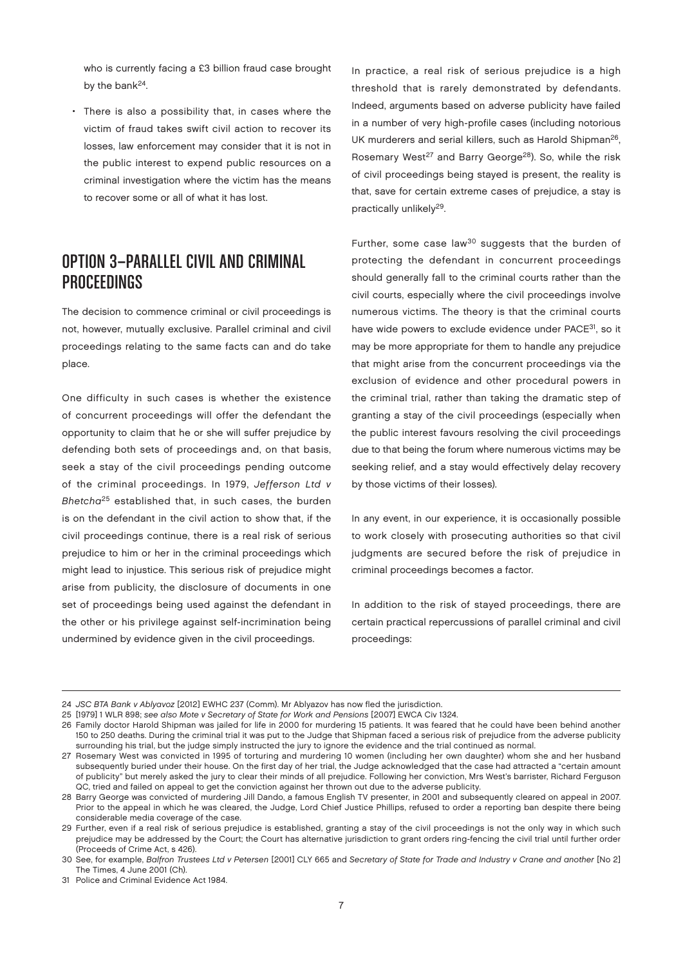who is currently facing a £3 billion fraud case brought by the bank<sup>24</sup>.

• There is also a possibility that, in cases where the victim of fraud takes swift civil action to recover its losses, law enforcement may consider that it is not in the public interest to expend public resources on a criminal investigation where the victim has the means to recover some or all of what it has lost.

## OPTION 3—PARALLEL CIVIL AND CRIMINAL PROCEEDINGS

The decision to commence criminal or civil proceedings is not, however, mutually exclusive. Parallel criminal and civil proceedings relating to the same facts can and do take place.

One difficulty in such cases is whether the existence of concurrent proceedings will offer the defendant the opportunity to claim that he or she will suffer prejudice by defending both sets of proceedings and, on that basis, seek a stay of the civil proceedings pending outcome of the criminal proceedings. In 1979, Jefferson Ltd v Bhetch $a^{25}$  established that, in such cases, the burden is on the defendant in the civil action to show that, if the civil proceedings continue, there is a real risk of serious prejudice to him or her in the criminal proceedings which might lead to injustice. This serious risk of prejudice might arise from publicity, the disclosure of documents in one set of proceedings being used against the defendant in the other or his privilege against self-incrimination being undermined by evidence given in the civil proceedings.

In practice, a real risk of serious prejudice is a high threshold that is rarely demonstrated by defendants. Indeed, arguments based on adverse publicity have failed in a number of very high-profile cases (including notorious UK murderers and serial killers, such as Harold Shipman<sup>26</sup>, Rosemary West<sup>27</sup> and Barry George<sup>28</sup>). So, while the risk of civil proceedings being stayed is present, the reality is that, save for certain extreme cases of prejudice, a stay is practically unlikely<sup>29</sup>.

Further, some case law<sup>30</sup> suggests that the burden of protecting the defendant in concurrent proceedings should generally fall to the criminal courts rather than the civil courts, especially where the civil proceedings involve numerous victims. The theory is that the criminal courts have wide powers to exclude evidence under PACE<sup>31</sup>, so it may be more appropriate for them to handle any prejudice that might arise from the concurrent proceedings via the exclusion of evidence and other procedural powers in the criminal trial, rather than taking the dramatic step of granting a stay of the civil proceedings (especially when the public interest favours resolving the civil proceedings due to that being the forum where numerous victims may be seeking relief, and a stay would effectively delay recovery by those victims of their losses).

In any event, in our experience, it is occasionally possible to work closely with prosecuting authorities so that civil judgments are secured before the risk of prejudice in criminal proceedings becomes a factor.

In addition to the risk of stayed proceedings, there are certain practical repercussions of parallel criminal and civil proceedings:

<sup>24</sup> JSC BTA Bank v Ablyavoz [2012] EWHC 237 (Comm). Mr Ablyazov has now fled the jurisdiction.

<sup>25</sup> [1979] 1 WLR 898; see also Mote v Secretary of State for Work and Pensions [2007] EWCA Civ 1324.

<sup>26</sup> Family doctor Harold Shipman was jailed for life in 2000 for murdering 15 patients. It was feared that he could have been behind another 150 to 250 deaths. During the criminal trial it was put to the Judge that Shipman faced a serious risk of prejudice from the adverse publicity surrounding his trial, but the judge simply instructed the jury to ignore the evidence and the trial continued as normal.

<sup>27</sup> Rosemary West was convicted in 1995 of torturing and murdering 10 women (including her own daughter) whom she and her husband subsequently buried under their house. On the first day of her trial, the Judge acknowledged that the case had attracted a "certain amount of publicity" but merely asked the jury to clear their minds of all prejudice. Following her conviction, Mrs West's barrister, Richard Ferguson QC, tried and failed on appeal to get the conviction against her thrown out due to the adverse publicity.

<sup>28</sup> Barry George was convicted of murdering Jill Dando, a famous English TV presenter, in 2001 and subsequently cleared on appeal in 2007. Prior to the appeal in which he was cleared, the Judge, Lord Chief Justice Phillips, refused to order a reporting ban despite there being considerable media coverage of the case.

<sup>29</sup> Further, even if a real risk of serious prejudice is established, granting a stay of the civil proceedings is not the only way in which such prejudice may be addressed by the Court; the Court has alternative jurisdiction to grant orders ring-fencing the civil trial until further order (Proceeds of Crime Act, s 426).

<sup>30</sup> See, for example, Balfron Trustees Ltd v Petersen [2001] CLY 665 and Secretary of State for Trade and Industry v Crane and another [No 2] The Times, 4 June 2001 (Ch).

<sup>31</sup> Police and Criminal Evidence Act 1984.